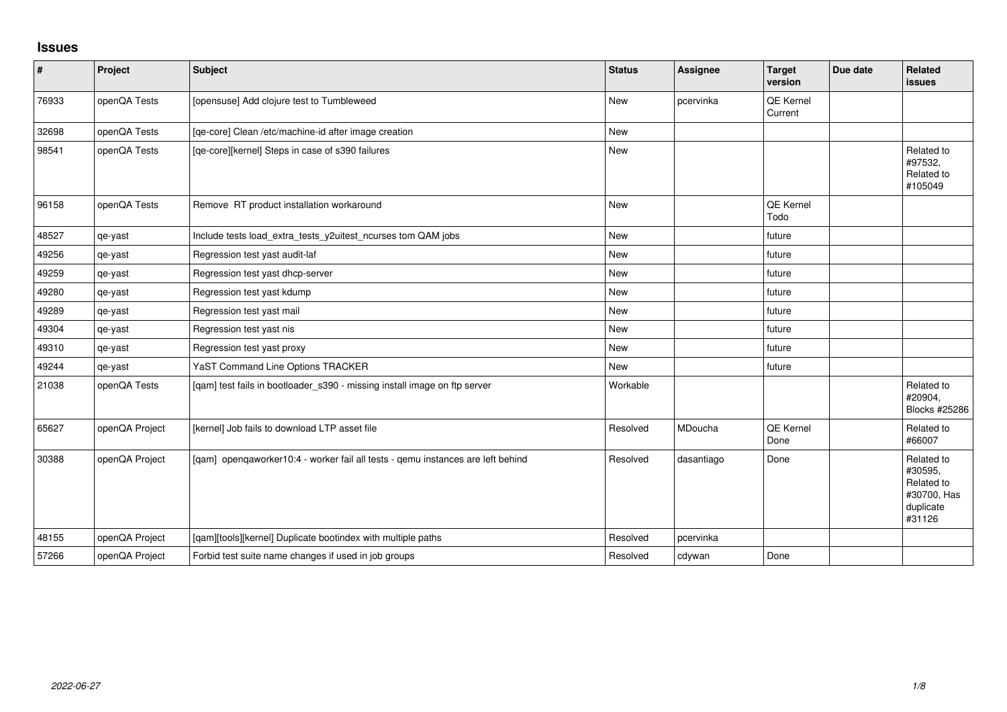## **Issues**

| $\vert$ # | Project        | Subject                                                                         | <b>Status</b> | <b>Assignee</b> | <b>Target</b><br>version | Due date | Related<br><b>issues</b>                                                  |
|-----------|----------------|---------------------------------------------------------------------------------|---------------|-----------------|--------------------------|----------|---------------------------------------------------------------------------|
| 76933     | openQA Tests   | [opensuse] Add clojure test to Tumbleweed                                       | <b>New</b>    | pcervinka       | QE Kernel<br>Current     |          |                                                                           |
| 32698     | openQA Tests   | [qe-core] Clean /etc/machine-id after image creation                            | <b>New</b>    |                 |                          |          |                                                                           |
| 98541     | openQA Tests   | [qe-core][kernel] Steps in case of s390 failures                                | New           |                 |                          |          | Related to<br>#97532,<br>Related to<br>#105049                            |
| 96158     | openQA Tests   | Remove RT product installation workaround                                       | <b>New</b>    |                 | QE Kernel<br>Todo        |          |                                                                           |
| 48527     | qe-yast        | Include tests load_extra_tests_y2uitest_ncurses tom QAM jobs                    | New           |                 | future                   |          |                                                                           |
| 49256     | qe-yast        | Regression test yast audit-laf                                                  | <b>New</b>    |                 | future                   |          |                                                                           |
| 49259     | qe-yast        | Regression test yast dhcp-server                                                | <b>New</b>    |                 | future                   |          |                                                                           |
| 49280     | qe-yast        | Regression test yast kdump                                                      | New           |                 | future                   |          |                                                                           |
| 49289     | qe-yast        | Regression test yast mail                                                       | <b>New</b>    |                 | future                   |          |                                                                           |
| 49304     | qe-yast        | Regression test yast nis                                                        | New           |                 | future                   |          |                                                                           |
| 49310     | qe-yast        | Regression test yast proxy                                                      | <b>New</b>    |                 | future                   |          |                                                                           |
| 49244     | qe-yast        | YaST Command Line Options TRACKER                                               | New           |                 | future                   |          |                                                                           |
| 21038     | openQA Tests   | [qam] test fails in bootloader_s390 - missing install image on ftp server       | Workable      |                 |                          |          | Related to<br>#20904,<br>Blocks #25286                                    |
| 65627     | openQA Project | [kernel] Job fails to download LTP asset file                                   | Resolved      | MDoucha         | QE Kernel<br>Done        |          | Related to<br>#66007                                                      |
| 30388     | openQA Project | [qam] openqaworker10:4 - worker fail all tests - qemu instances are left behind | Resolved      | dasantiago      | Done                     |          | Related to<br>#30595,<br>Related to<br>#30700, Has<br>duplicate<br>#31126 |
| 48155     | openQA Project | [qam][tools][kernel] Duplicate bootindex with multiple paths                    | Resolved      | pcervinka       |                          |          |                                                                           |
| 57266     | openQA Project | Forbid test suite name changes if used in job groups                            | Resolved      | cdywan          | Done                     |          |                                                                           |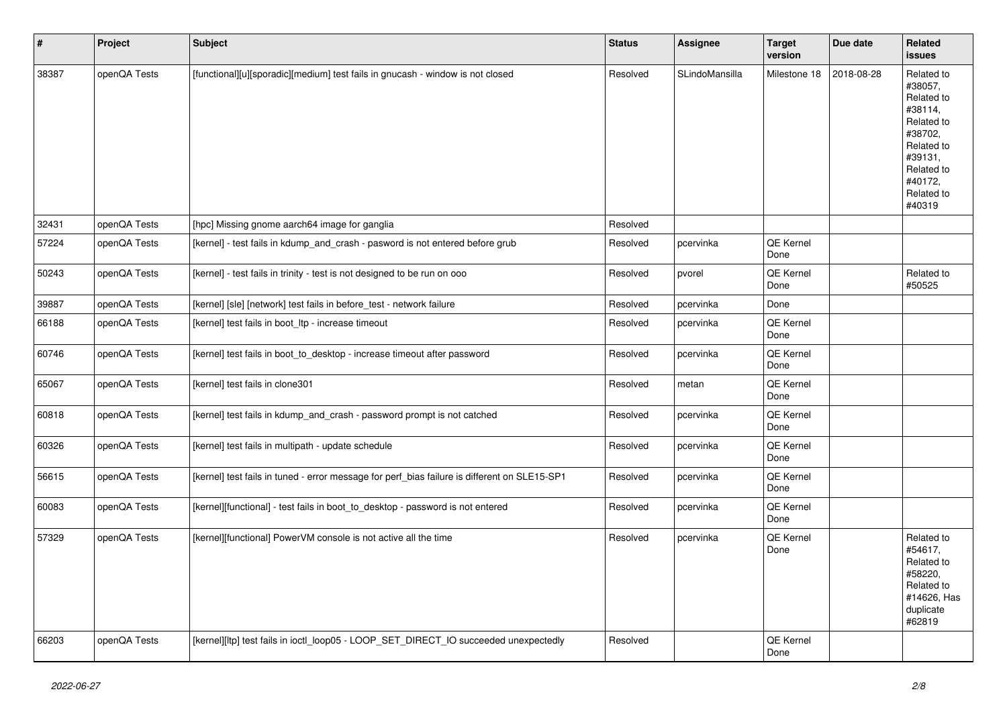| $\vert$ # | Project      | <b>Subject</b>                                                                               | <b>Status</b> | Assignee       | <b>Target</b><br>version | Due date   | Related<br><b>issues</b>                                                                                                                          |
|-----------|--------------|----------------------------------------------------------------------------------------------|---------------|----------------|--------------------------|------------|---------------------------------------------------------------------------------------------------------------------------------------------------|
| 38387     | openQA Tests | [functional][u][sporadic][medium] test fails in gnucash - window is not closed               | Resolved      | SLindoMansilla | Milestone 18             | 2018-08-28 | Related to<br>#38057,<br>Related to<br>#38114,<br>Related to<br>#38702,<br>Related to<br>#39131.<br>Related to<br>#40172,<br>Related to<br>#40319 |
| 32431     | openQA Tests | [hpc] Missing gnome aarch64 image for ganglia                                                | Resolved      |                |                          |            |                                                                                                                                                   |
| 57224     | openQA Tests | [kernel] - test fails in kdump_and_crash - pasword is not entered before grub                | Resolved      | pcervinka      | QE Kernel<br>Done        |            |                                                                                                                                                   |
| 50243     | openQA Tests | [kernel] - test fails in trinity - test is not designed to be run on ooo                     | Resolved      | pvorel         | QE Kernel<br>Done        |            | Related to<br>#50525                                                                                                                              |
| 39887     | openQA Tests | [kernel] [sle] [network] test fails in before_test - network failure                         | Resolved      | pcervinka      | Done                     |            |                                                                                                                                                   |
| 66188     | openQA Tests | [kernel] test fails in boot_ltp - increase timeout                                           | Resolved      | pcervinka      | QE Kernel<br>Done        |            |                                                                                                                                                   |
| 60746     | openQA Tests | [kernel] test fails in boot_to_desktop - increase timeout after password                     | Resolved      | pcervinka      | QE Kernel<br>Done        |            |                                                                                                                                                   |
| 65067     | openQA Tests | [kernel] test fails in clone301                                                              | Resolved      | metan          | QE Kernel<br>Done        |            |                                                                                                                                                   |
| 60818     | openQA Tests | [kernel] test fails in kdump and crash - password prompt is not catched                      | Resolved      | pcervinka      | QE Kernel<br>Done        |            |                                                                                                                                                   |
| 60326     | openQA Tests | [kernel] test fails in multipath - update schedule                                           | Resolved      | pcervinka      | QE Kernel<br>Done        |            |                                                                                                                                                   |
| 56615     | openQA Tests | [kernel] test fails in tuned - error message for perf_bias failure is different on SLE15-SP1 | Resolved      | pcervinka      | QE Kernel<br>Done        |            |                                                                                                                                                   |
| 60083     | openQA Tests | [kernel][functional] - test fails in boot_to_desktop - password is not entered               | Resolved      | pcervinka      | QE Kernel<br>Done        |            |                                                                                                                                                   |
| 57329     | openQA Tests | [kernel][functional] PowerVM console is not active all the time                              | Resolved      | pcervinka      | QE Kernel<br>Done        |            | Related to<br>#54617.<br>Related to<br>#58220,<br>Related to<br>#14626, Has<br>duplicate<br>#62819                                                |
| 66203     | openQA Tests | [kernel][ltp] test fails in ioctl_loop05 - LOOP_SET_DIRECT_IO succeeded unexpectedly         | Resolved      |                | QE Kernel<br>Done        |            |                                                                                                                                                   |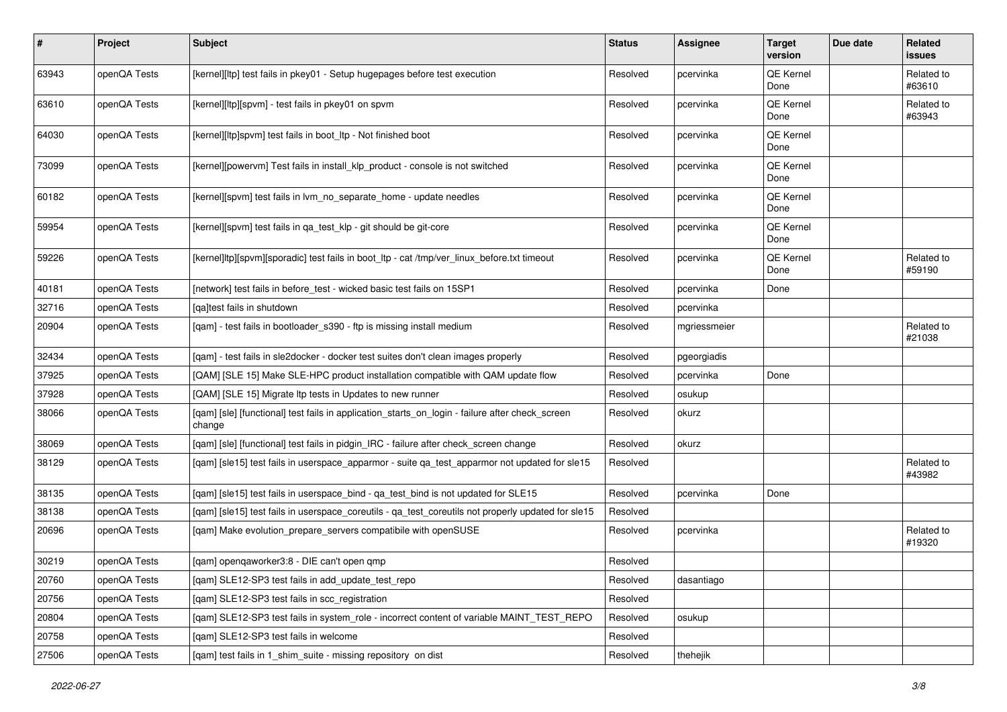| $\sharp$ | Project      | <b>Subject</b>                                                                                            | <b>Status</b> | Assignee     | <b>Target</b><br>version | Due date | Related<br>issues    |
|----------|--------------|-----------------------------------------------------------------------------------------------------------|---------------|--------------|--------------------------|----------|----------------------|
| 63943    | openQA Tests | [kernel][ltp] test fails in pkey01 - Setup hugepages before test execution                                | Resolved      | pcervinka    | QE Kernel<br>Done        |          | Related to<br>#63610 |
| 63610    | openQA Tests | [kernel][ltp][spvm] - test fails in pkey01 on spvm                                                        | Resolved      | pcervinka    | QE Kernel<br>Done        |          | Related to<br>#63943 |
| 64030    | openQA Tests | [kernel][ltp]spvm] test fails in boot_ltp - Not finished boot                                             | Resolved      | pcervinka    | QE Kernel<br>Done        |          |                      |
| 73099    | openQA Tests | [kernel][powervm] Test fails in install_klp_product - console is not switched                             | Resolved      | pcervinka    | QE Kernel<br>Done        |          |                      |
| 60182    | openQA Tests | [kernel][spvm] test fails in lvm_no_separate_home - update needles                                        | Resolved      | pcervinka    | QE Kernel<br>Done        |          |                      |
| 59954    | openQA Tests | [kernel][spvm] test fails in qa_test_klp - git should be git-core                                         | Resolved      | pcervinka    | QE Kernel<br>Done        |          |                      |
| 59226    | openQA Tests | [kernel]ltp][spvm][sporadic] test fails in boot_ltp - cat /tmp/ver_linux_before.txt timeout               | Resolved      | pcervinka    | QE Kernel<br>Done        |          | Related to<br>#59190 |
| 40181    | openQA Tests | [network] test fails in before_test - wicked basic test fails on 15SP1                                    | Resolved      | pcervinka    | Done                     |          |                      |
| 32716    | openQA Tests | [ga]test fails in shutdown                                                                                | Resolved      | pcervinka    |                          |          |                      |
| 20904    | openQA Tests | [qam] - test fails in bootloader_s390 - ftp is missing install medium                                     | Resolved      | mgriessmeier |                          |          | Related to<br>#21038 |
| 32434    | openQA Tests | [qam] - test fails in sle2docker - docker test suites don't clean images properly                         | Resolved      | pgeorgiadis  |                          |          |                      |
| 37925    | openQA Tests | [QAM] [SLE 15] Make SLE-HPC product installation compatible with QAM update flow                          | Resolved      | pcervinka    | Done                     |          |                      |
| 37928    | openQA Tests | [QAM] [SLE 15] Migrate Itp tests in Updates to new runner                                                 | Resolved      | osukup       |                          |          |                      |
| 38066    | openQA Tests | [qam] [sle] [functional] test fails in application_starts_on_login - failure after check_screen<br>change | Resolved      | okurz        |                          |          |                      |
| 38069    | openQA Tests | [qam] [sle] [functional] test fails in pidgin_IRC - failure after check_screen change                     | Resolved      | okurz        |                          |          |                      |
| 38129    | openQA Tests | [qam] [sle15] test fails in userspace_apparmor - suite qa_test_apparmor not updated for sle15             | Resolved      |              |                          |          | Related to<br>#43982 |
| 38135    | openQA Tests | [qam] [sle15] test fails in userspace_bind - qa_test_bind is not updated for SLE15                        | Resolved      | pcervinka    | Done                     |          |                      |
| 38138    | openQA Tests | [qam] [sle15] test fails in userspace_coreutils - qa_test_coreutils not properly updated for sle15        | Resolved      |              |                          |          |                      |
| 20696    | openQA Tests | [qam] Make evolution_prepare_servers compatibile with openSUSE                                            | Resolved      | pcervinka    |                          |          | Related to<br>#19320 |
| 30219    | openQA Tests | [qam] openqaworker3:8 - DIE can't open qmp                                                                | Resolved      |              |                          |          |                      |
| 20760    | openQA Tests | [gam] SLE12-SP3 test fails in add update test repo                                                        | Resolved      | dasantiago   |                          |          |                      |
| 20756    | openQA Tests | [qam] SLE12-SP3 test fails in scc_registration                                                            | Resolved      |              |                          |          |                      |
| 20804    | openQA Tests | [qam] SLE12-SP3 test fails in system_role - incorrect content of variable MAINT_TEST_REPO                 | Resolved      | osukup       |                          |          |                      |
| 20758    | openQA Tests | [qam] SLE12-SP3 test fails in welcome                                                                     | Resolved      |              |                          |          |                      |
| 27506    | openQA Tests | [qam] test fails in 1_shim_suite - missing repository on dist                                             | Resolved      | thehejik     |                          |          |                      |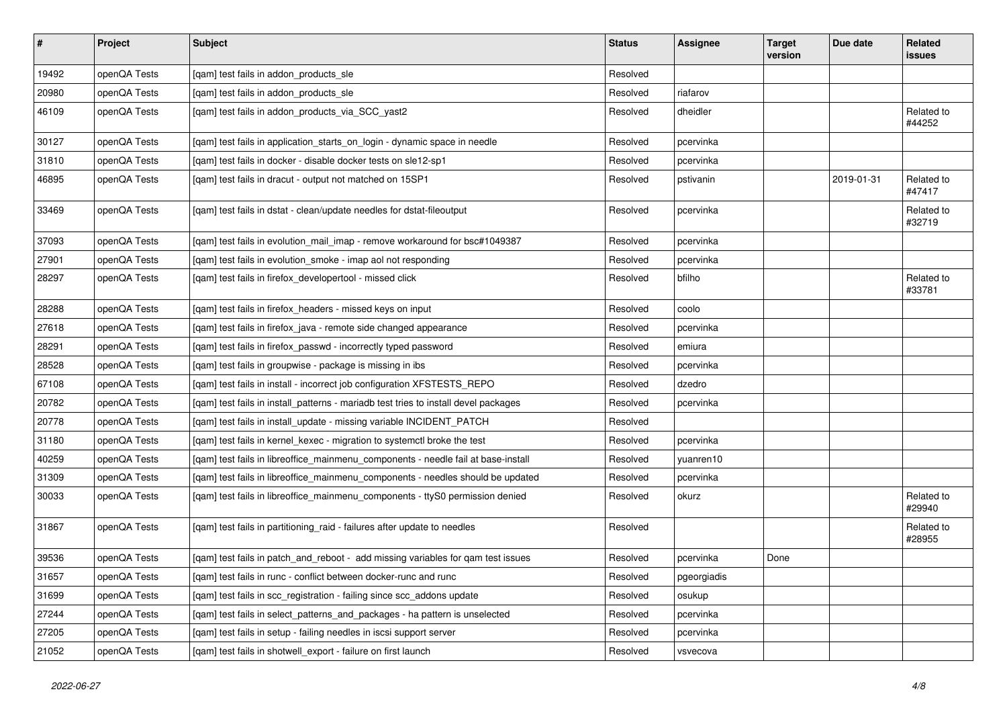| $\vert$ # | Project      | <b>Subject</b>                                                                      | <b>Status</b> | <b>Assignee</b> | <b>Target</b><br>version | Due date   | <b>Related</b><br>issues |
|-----------|--------------|-------------------------------------------------------------------------------------|---------------|-----------------|--------------------------|------------|--------------------------|
| 19492     | openQA Tests | [gam] test fails in addon products sle                                              | Resolved      |                 |                          |            |                          |
| 20980     | openQA Tests | [gam] test fails in addon products sle                                              | Resolved      | riafarov        |                          |            |                          |
| 46109     | openQA Tests | [qam] test fails in addon_products_via_SCC_yast2                                    | Resolved      | dheidler        |                          |            | Related to<br>#44252     |
| 30127     | openQA Tests | [qam] test fails in application_starts_on_login - dynamic space in needle           | Resolved      | pcervinka       |                          |            |                          |
| 31810     | openQA Tests | [gam] test fails in docker - disable docker tests on sle12-sp1                      | Resolved      | pcervinka       |                          |            |                          |
| 46895     | openQA Tests | [qam] test fails in dracut - output not matched on 15SP1                            | Resolved      | pstivanin       |                          | 2019-01-31 | Related to<br>#47417     |
| 33469     | openQA Tests | [qam] test fails in dstat - clean/update needles for dstat-fileoutput               | Resolved      | pcervinka       |                          |            | Related to<br>#32719     |
| 37093     | openQA Tests | [qam] test fails in evolution_mail_imap - remove workaround for bsc#1049387         | Resolved      | pcervinka       |                          |            |                          |
| 27901     | openQA Tests | [qam] test fails in evolution_smoke - imap aol not responding                       | Resolved      | pcervinka       |                          |            |                          |
| 28297     | openQA Tests | [qam] test fails in firefox_developertool - missed click                            | Resolved      | bfilho          |                          |            | Related to<br>#33781     |
| 28288     | openQA Tests | [gam] test fails in firefox headers - missed keys on input                          | Resolved      | coolo           |                          |            |                          |
| 27618     | openQA Tests | [gam] test fails in firefox java - remote side changed appearance                   | Resolved      | pcervinka       |                          |            |                          |
| 28291     | openQA Tests | [qam] test fails in firefox_passwd - incorrectly typed password                     | Resolved      | emiura          |                          |            |                          |
| 28528     | openQA Tests | [gam] test fails in groupwise - package is missing in ibs                           | Resolved      | pcervinka       |                          |            |                          |
| 67108     | openQA Tests | [qam] test fails in install - incorrect job configuration XFSTESTS_REPO             | Resolved      | dzedro          |                          |            |                          |
| 20782     | openQA Tests | [qam] test fails in install_patterns - mariadb test tries to install devel packages | Resolved      | pcervinka       |                          |            |                          |
| 20778     | openQA Tests | [qam] test fails in install_update - missing variable INCIDENT_PATCH                | Resolved      |                 |                          |            |                          |
| 31180     | openQA Tests | [gam] test fails in kernel kexec - migration to systemctl broke the test            | Resolved      | pcervinka       |                          |            |                          |
| 40259     | openQA Tests | [gam] test fails in libreoffice mainmenu components - needle fail at base-install   | Resolved      | yuanren10       |                          |            |                          |
| 31309     | openQA Tests | [gam] test fails in libreoffice mainmenu components - needles should be updated     | Resolved      | pcervinka       |                          |            |                          |
| 30033     | openQA Tests | [gam] test fails in libreoffice mainmenu components - ttyS0 permission denied       | Resolved      | okurz           |                          |            | Related to<br>#29940     |
| 31867     | openQA Tests | [qam] test fails in partitioning_raid - failures after update to needles            | Resolved      |                 |                          |            | Related to<br>#28955     |
| 39536     | openQA Tests | [qam] test fails in patch_and_reboot - add missing variables for qam test issues    | Resolved      | pcervinka       | Done                     |            |                          |
| 31657     | openQA Tests | [gam] test fails in runc - conflict between docker-runc and runc                    | Resolved      | pgeorgiadis     |                          |            |                          |
| 31699     | openQA Tests | [gam] test fails in scc_registration - failing since scc_addons update              | Resolved      | osukup          |                          |            |                          |
| 27244     | openQA Tests | [gam] test fails in select_patterns_and_packages - ha pattern is unselected         | Resolved      | pcervinka       |                          |            |                          |
| 27205     | openQA Tests | [qam] test fails in setup - failing needles in iscsi support server                 | Resolved      | pcervinka       |                          |            |                          |
| 21052     | openQA Tests | [gam] test fails in shotwell export - failure on first launch                       | Resolved      | vsvecova        |                          |            |                          |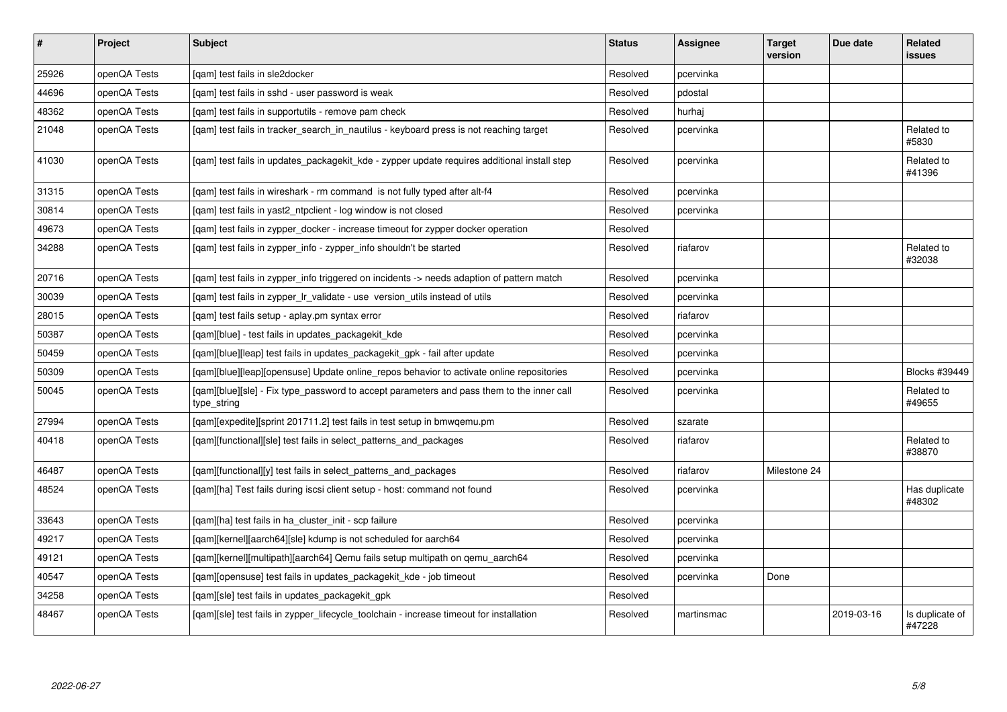| #     | Project      | <b>Subject</b>                                                                                           | <b>Status</b> | Assignee   | <b>Target</b><br>version | Due date   | Related<br>issues         |
|-------|--------------|----------------------------------------------------------------------------------------------------------|---------------|------------|--------------------------|------------|---------------------------|
| 25926 | openQA Tests | [gam] test fails in sle2docker                                                                           | Resolved      | pcervinka  |                          |            |                           |
| 44696 | openQA Tests | [qam] test fails in sshd - user password is weak                                                         | Resolved      | pdostal    |                          |            |                           |
| 48362 | openQA Tests | [qam] test fails in supportutils - remove pam check                                                      | Resolved      | hurhaj     |                          |            |                           |
| 21048 | openQA Tests | [qam] test fails in tracker_search_in_nautilus - keyboard press is not reaching target                   | Resolved      | pcervinka  |                          |            | Related to<br>#5830       |
| 41030 | openQA Tests | [gam] test fails in updates packagekit kde - zypper update requires additional install step              | Resolved      | pcervinka  |                          |            | Related to<br>#41396      |
| 31315 | openQA Tests | [gam] test fails in wireshark - rm command is not fully typed after alt-f4                               | Resolved      | pcervinka  |                          |            |                           |
| 30814 | openQA Tests | [qam] test fails in yast2_ntpclient - log window is not closed                                           | Resolved      | pcervinka  |                          |            |                           |
| 49673 | openQA Tests | [gam] test fails in zypper docker - increase timeout for zypper docker operation                         | Resolved      |            |                          |            |                           |
| 34288 | openQA Tests | [qam] test fails in zypper_info - zypper_info shouldn't be started                                       | Resolved      | riafarov   |                          |            | Related to<br>#32038      |
| 20716 | openQA Tests | [gam] test fails in zypper info triggered on incidents -> needs adaption of pattern match                | Resolved      | pcervinka  |                          |            |                           |
| 30039 | openQA Tests | [gam] test fails in zypper Ir validate - use version utils instead of utils                              | Resolved      | pcervinka  |                          |            |                           |
| 28015 | openQA Tests | [qam] test fails setup - aplay.pm syntax error                                                           | Resolved      | riafarov   |                          |            |                           |
| 50387 | openQA Tests | [gam][blue] - test fails in updates packagekit kde                                                       | Resolved      | pcervinka  |                          |            |                           |
| 50459 | openQA Tests | [gam][blue][leap] test fails in updates packagekit gpk - fail after update                               | Resolved      | pcervinka  |                          |            |                           |
| 50309 | openQA Tests | [gam][blue][leap][opensuse] Update online repos behavior to activate online repositories                 | Resolved      | pcervinka  |                          |            | Blocks #39449             |
| 50045 | openQA Tests | [gam][blue][sle] - Fix type password to accept parameters and pass them to the inner call<br>type_string | Resolved      | pcervinka  |                          |            | Related to<br>#49655      |
| 27994 | openQA Tests | [qam][expedite][sprint 201711.2] test fails in test setup in bmwqemu.pm                                  | Resolved      | szarate    |                          |            |                           |
| 40418 | openQA Tests | [qam][functional][sle] test fails in select_patterns_and_packages                                        | Resolved      | riafarov   |                          |            | Related to<br>#38870      |
| 46487 | openQA Tests | [qam][functional][y] test fails in select_patterns_and_packages                                          | Resolved      | riafarov   | Milestone 24             |            |                           |
| 48524 | openQA Tests | [gam][ha] Test fails during iscsi client setup - host: command not found                                 | Resolved      | pcervinka  |                          |            | Has duplicate<br>#48302   |
| 33643 | openQA Tests | [qam][ha] test fails in ha_cluster_init - scp failure                                                    | Resolved      | pcervinka  |                          |            |                           |
| 49217 | openQA Tests | [qam][kernel][aarch64][sle] kdump is not scheduled for aarch64                                           | Resolved      | pcervinka  |                          |            |                           |
| 49121 | openQA Tests | [gam][kernel][multipath][aarch64] Qemu fails setup multipath on gemu aarch64                             | Resolved      | pcervinka  |                          |            |                           |
| 40547 | openQA Tests | [qam][opensuse] test fails in updates_packagekit_kde - job timeout                                       | Resolved      | pcervinka  | Done                     |            |                           |
| 34258 | openQA Tests | [gam][sle] test fails in updates packagekit gpk                                                          | Resolved      |            |                          |            |                           |
| 48467 | openQA Tests | [gam][sle] test fails in zypper lifecycle toolchain - increase timeout for installation                  | Resolved      | martinsmac |                          | 2019-03-16 | Is duplicate of<br>#47228 |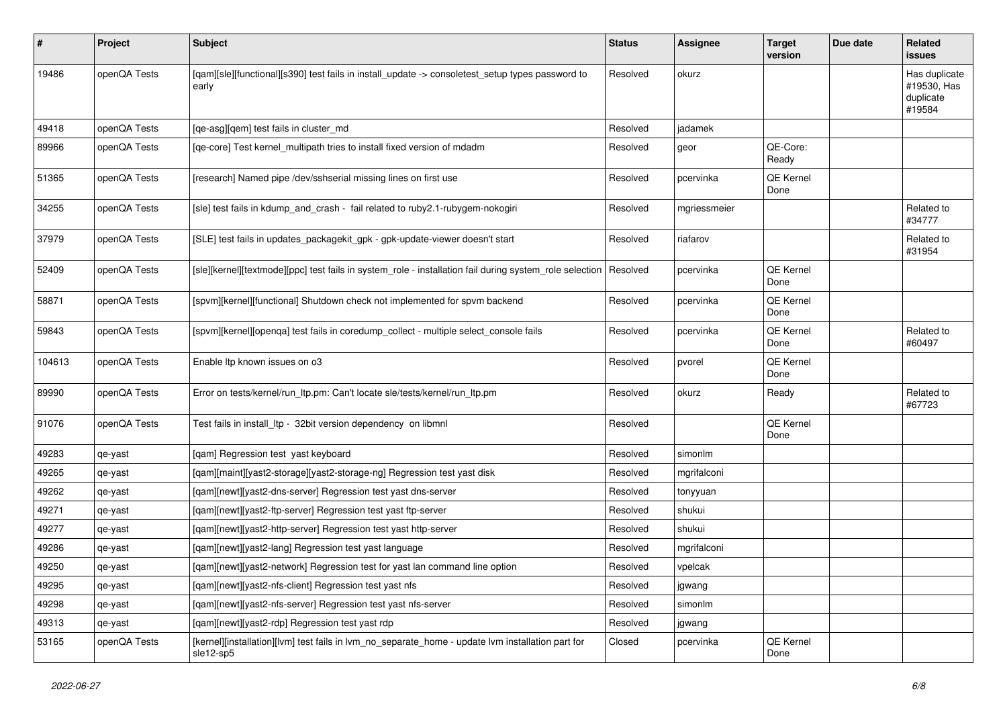| #      | Project      | Subject                                                                                                        | <b>Status</b> | <b>Assignee</b> | <b>Target</b><br>version | Due date | Related<br><b>issues</b>                            |
|--------|--------------|----------------------------------------------------------------------------------------------------------------|---------------|-----------------|--------------------------|----------|-----------------------------------------------------|
| 19486  | openQA Tests | [gam][sle][functional][s390] test fails in install_update -> consoletest_setup types password to<br>early      | Resolved      | okurz           |                          |          | Has duplicate<br>#19530, Has<br>duplicate<br>#19584 |
| 49418  | openQA Tests | [qe-asg][qem] test fails in cluster_md                                                                         | Resolved      | jadamek         |                          |          |                                                     |
| 89966  | openQA Tests | [qe-core] Test kernel_multipath tries to install fixed version of mdadm                                        | Resolved      | geor            | QE-Core:<br>Ready        |          |                                                     |
| 51365  | openQA Tests | [research] Named pipe /dev/sshserial missing lines on first use                                                | Resolved      | pcervinka       | QE Kernel<br>Done        |          |                                                     |
| 34255  | openQA Tests | [sle] test fails in kdump_and_crash - fail related to ruby2.1-rubygem-nokogiri                                 | Resolved      | mgriessmeier    |                          |          | Related to<br>#34777                                |
| 37979  | openQA Tests | [SLE] test fails in updates_packagekit_gpk - gpk-update-viewer doesn't start                                   | Resolved      | riafarov        |                          |          | Related to<br>#31954                                |
| 52409  | openQA Tests | [sle][kernel][textmode][ppc] test fails in system_role - installation fail during system_role selection        | Resolved      | pcervinka       | QE Kernel<br>Done        |          |                                                     |
| 58871  | openQA Tests | [spvm][kernel][functional] Shutdown check not implemented for spvm backend                                     | Resolved      | pcervinka       | QE Kernel<br>Done        |          |                                                     |
| 59843  | openQA Tests | [spvm][kernel][openqa] test fails in coredump_collect - multiple select_console fails                          | Resolved      | pcervinka       | QE Kernel<br>Done        |          | Related to<br>#60497                                |
| 104613 | openQA Tests | Enable Itp known issues on o3                                                                                  | Resolved      | pvorel          | QE Kernel<br>Done        |          |                                                     |
| 89990  | openQA Tests | Error on tests/kernel/run_ltp.pm: Can't locate sle/tests/kernel/run_ltp.pm                                     | Resolved      | okurz           | Ready                    |          | Related to<br>#67723                                |
| 91076  | openQA Tests | Test fails in install_ltp - 32bit version dependency on libmnl                                                 | Resolved      |                 | QE Kernel<br>Done        |          |                                                     |
| 49283  | qe-yast      | [qam] Regression test yast keyboard                                                                            | Resolved      | simonlm         |                          |          |                                                     |
| 49265  | qe-yast      | [qam][maint][yast2-storage][yast2-storage-ng] Regression test yast disk                                        | Resolved      | mgrifalconi     |                          |          |                                                     |
| 49262  | qe-yast      | [qam][newt][yast2-dns-server] Regression test yast dns-server                                                  | Resolved      | tonyyuan        |                          |          |                                                     |
| 49271  | qe-yast      | [qam][newt][yast2-ftp-server] Regression test yast ftp-server                                                  | Resolved      | shukui          |                          |          |                                                     |
| 49277  | qe-yast      | [qam][newt][yast2-http-server] Regression test yast http-server                                                | Resolved      | shukui          |                          |          |                                                     |
| 49286  | qe-yast      | [qam][newt][yast2-lang] Regression test yast language                                                          | Resolved      | mgrifalconi     |                          |          |                                                     |
| 49250  | qe-yast      | [qam][newt][yast2-network] Regression test for yast lan command line option                                    | Resolved      | vpelcak         |                          |          |                                                     |
| 49295  | qe-yast      | [qam][newt][yast2-nfs-client] Regression test yast nfs                                                         | Resolved      | jgwang          |                          |          |                                                     |
| 49298  | qe-yast      | [qam][newt][yast2-nfs-server] Regression test yast nfs-server                                                  | Resolved      | simonlm         |                          |          |                                                     |
| 49313  | qe-yast      | [qam][newt][yast2-rdp] Regression test yast rdp                                                                | Resolved      | jgwang          |                          |          |                                                     |
| 53165  | openQA Tests | [kernel][installation][lvm] test fails in lvm_no_separate_home - update lvm installation part for<br>sle12-sp5 | Closed        | pcervinka       | QE Kernel<br>Done        |          |                                                     |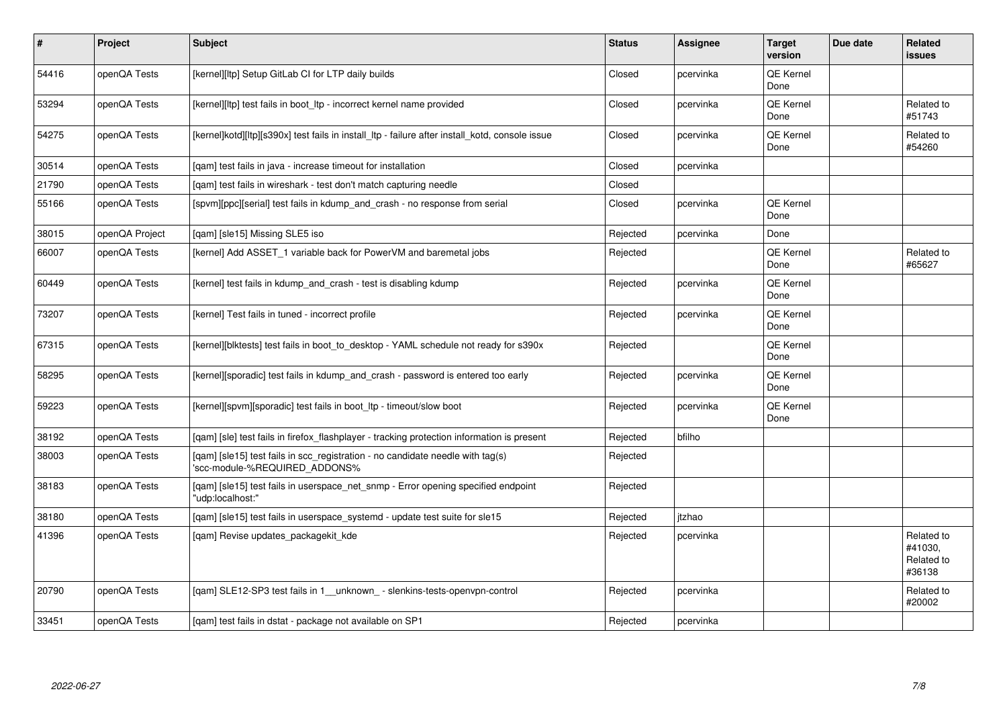| $\vert$ # | Project        | <b>Subject</b>                                                                                                  | <b>Status</b> | Assignee  | <b>Target</b><br>version | Due date | Related<br>issues                             |
|-----------|----------------|-----------------------------------------------------------------------------------------------------------------|---------------|-----------|--------------------------|----------|-----------------------------------------------|
| 54416     | openQA Tests   | [kernel][ltp] Setup GitLab CI for LTP daily builds                                                              | Closed        | pcervinka | QE Kernel<br>Done        |          |                                               |
| 53294     | openQA Tests   | [kernel][ltp] test fails in boot ltp - incorrect kernel name provided                                           | Closed        | pcervinka | QE Kernel<br>Done        |          | Related to<br>#51743                          |
| 54275     | openQA Tests   | [kernel]kotd][ltp][s390x] test fails in install ltp - failure after install kotd, console issue                 | Closed        | pcervinka | QE Kernel<br>Done        |          | Related to<br>#54260                          |
| 30514     | openQA Tests   | [gam] test fails in java - increase timeout for installation                                                    | Closed        | pcervinka |                          |          |                                               |
| 21790     | openQA Tests   | [gam] test fails in wireshark - test don't match capturing needle                                               | Closed        |           |                          |          |                                               |
| 55166     | openQA Tests   | [spvm][ppc][serial] test fails in kdump_and_crash - no response from serial                                     | Closed        | pcervinka | <b>QE Kernel</b><br>Done |          |                                               |
| 38015     | openQA Project | [gam] [sle15] Missing SLE5 iso                                                                                  | Rejected      | pcervinka | Done                     |          |                                               |
| 66007     | openQA Tests   | [kernel] Add ASSET_1 variable back for PowerVM and baremetal jobs                                               | Rejected      |           | <b>QE Kernel</b><br>Done |          | Related to<br>#65627                          |
| 60449     | openQA Tests   | [kernel] test fails in kdump_and_crash - test is disabling kdump                                                | Rejected      | pcervinka | QE Kernel<br>Done        |          |                                               |
| 73207     | openQA Tests   | [kernel] Test fails in tuned - incorrect profile                                                                | Rejected      | pcervinka | QE Kernel<br>Done        |          |                                               |
| 67315     | openQA Tests   | [kernel][blktests] test fails in boot_to_desktop - YAML schedule not ready for s390x                            | Rejected      |           | QE Kernel<br>Done        |          |                                               |
| 58295     | openQA Tests   | [kernel][sporadic] test fails in kdump_and_crash - password is entered too early                                | Rejected      | pcervinka | QE Kernel<br>Done        |          |                                               |
| 59223     | openQA Tests   | [kernel][spvm][sporadic] test fails in boot ltp - timeout/slow boot                                             | Rejected      | pcervinka | QE Kernel<br>Done        |          |                                               |
| 38192     | openQA Tests   | [gam] [sle] test fails in firefox flashplayer - tracking protection information is present                      | Rejected      | bfilho    |                          |          |                                               |
| 38003     | openQA Tests   | [qam] [sle15] test fails in scc_registration - no candidate needle with tag(s)<br>'scc-module-%REQUIRED_ADDONS% | Rejected      |           |                          |          |                                               |
| 38183     | openQA Tests   | [qam] [sle15] test fails in userspace_net_snmp - Error opening specified endpoint<br>'udp:localhost:"           | Rejected      |           |                          |          |                                               |
| 38180     | openQA Tests   | [qam] [sle15] test fails in userspace_systemd - update test suite for sle15                                     | Rejected      | itzhao    |                          |          |                                               |
| 41396     | openQA Tests   | [gam] Revise updates packagekit kde                                                                             | Rejected      | pcervinka |                          |          | Related to<br>#41030.<br>Related to<br>#36138 |
| 20790     | openQA Tests   | [qam] SLE12-SP3 test fails in 1__unknown_ - slenkins-tests-openvpn-control                                      | Rejected      | pcervinka |                          |          | Related to<br>#20002                          |
| 33451     | openQA Tests   | [qam] test fails in dstat - package not available on SP1                                                        | Rejected      | pcervinka |                          |          |                                               |